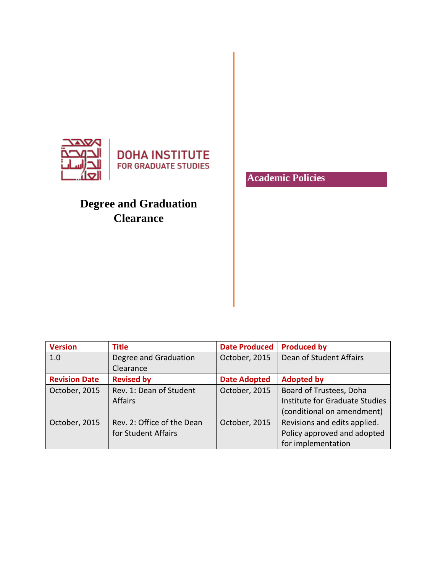

## **Degree and Graduation Clearance**

**Academic Policies**

| <b>Version</b>       | <b>Title</b>               | <b>Date Produced</b> | <b>Produced by</b>             |
|----------------------|----------------------------|----------------------|--------------------------------|
| 1.0                  | Degree and Graduation      | October, 2015        | Dean of Student Affairs        |
|                      | Clearance                  |                      |                                |
| <b>Revision Date</b> | <b>Revised by</b>          | <b>Date Adopted</b>  | <b>Adopted by</b>              |
| October, 2015        | Rev. 1: Dean of Student    | October, 2015        | Board of Trustees, Doha        |
|                      | <b>Affairs</b>             |                      | Institute for Graduate Studies |
|                      |                            |                      | (conditional on amendment)     |
| October, 2015        | Rev. 2: Office of the Dean | October, 2015        | Revisions and edits applied.   |
|                      | for Student Affairs        |                      | Policy approved and adopted    |
|                      |                            |                      | for implementation             |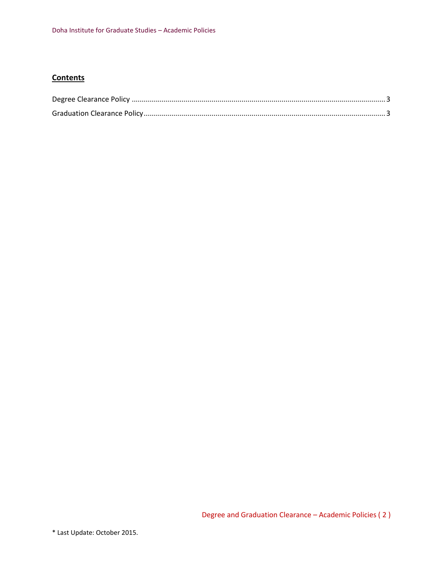## **Contents**